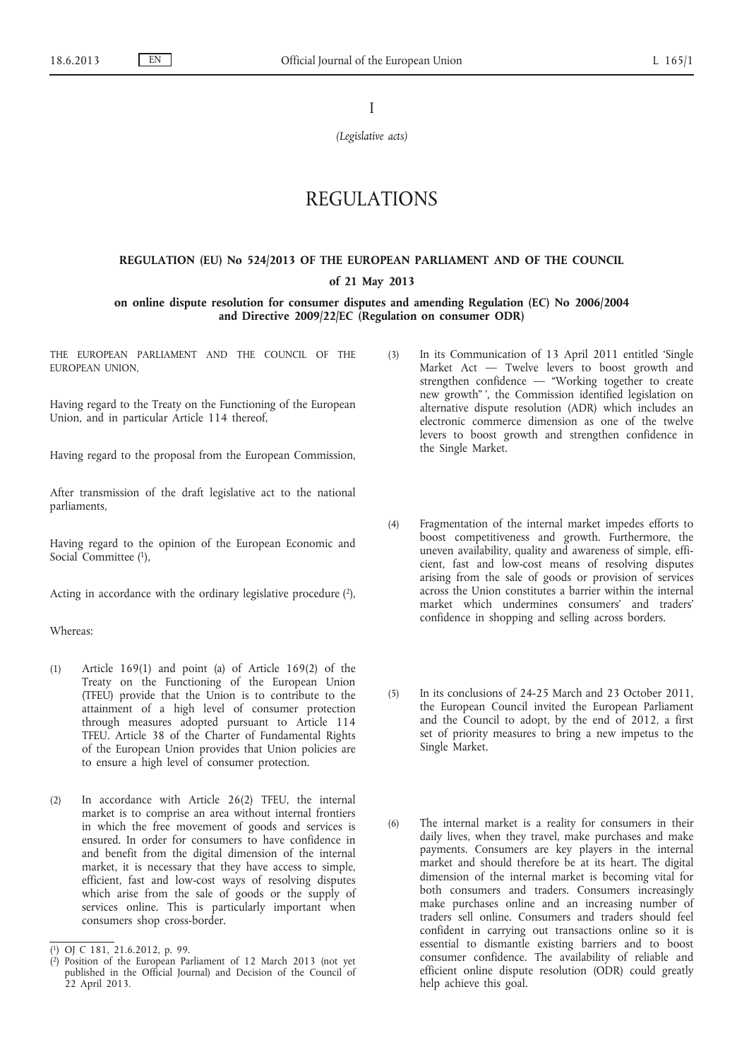I

*(Legislative acts)*

# REGULATIONS

# **REGULATION (EU) No 524/2013 OF THE EUROPEAN PARLIAMENT AND OF THE COUNCIL**

# **of 21 May 2013**

**on online dispute resolution for consumer disputes and amending Regulation (EC) No 2006/2004 and Directive 2009/22/EC (Regulation on consumer ODR)**

THE EUROPEAN PARLIAMENT AND THE COUNCIL OF THE EUROPEAN UNION,

Having regard to the Treaty on the Functioning of the European Union, and in particular Article 114 thereof,

Having regard to the proposal from the European Commission,

After transmission of the draft legislative act to the national parliaments,

Having regard to the opinion of the European Economic and Social Committee (1),

Acting in accordance with the ordinary legislative procedure (2),

#### Whereas:

- (1) Article 169(1) and point (a) of Article 169(2) of the Treaty on the Functioning of the European Union (TFEU) provide that the Union is to contribute to the attainment of a high level of consumer protection through measures adopted pursuant to Article 114 TFEU. Article 38 of the Charter of Fundamental Rights of the European Union provides that Union policies are to ensure a high level of consumer protection.
- (2) In accordance with Article 26(2) TFEU, the internal market is to comprise an area without internal frontiers in which the free movement of goods and services is ensured. In order for consumers to have confidence in and benefit from the digital dimension of the internal market, it is necessary that they have access to simple, efficient, fast and low-cost ways of resolving disputes which arise from the sale of goods or the supply of services online. This is particularly important when consumers shop cross-border.
- (3) In its Communication of 13 April 2011 entitled 'Single Market Act — Twelve levers to boost growth and strengthen confidence — "Working together to create new growth" ', the Commission identified legislation on alternative dispute resolution (ADR) which includes an electronic commerce dimension as one of the twelve levers to boost growth and strengthen confidence in the Single Market.
- (4) Fragmentation of the internal market impedes efforts to boost competitiveness and growth. Furthermore, the uneven availability, quality and awareness of simple, efficient, fast and low-cost means of resolving disputes arising from the sale of goods or provision of services across the Union constitutes a barrier within the internal market which undermines consumers' and traders' confidence in shopping and selling across borders.
- (5) In its conclusions of 24-25 March and 23 October 2011, the European Council invited the European Parliament and the Council to adopt, by the end of 2012, a first set of priority measures to bring a new impetus to the Single Market.
- (6) The internal market is a reality for consumers in their daily lives, when they travel, make purchases and make payments. Consumers are key players in the internal market and should therefore be at its heart. The digital dimension of the internal market is becoming vital for both consumers and traders. Consumers increasingly make purchases online and an increasing number of traders sell online. Consumers and traders should feel confident in carrying out transactions online so it is essential to dismantle existing barriers and to boost consumer confidence. The availability of reliable and efficient online dispute resolution (ODR) could greatly help achieve this goal.

<sup>(</sup> 1) OJ C 181, 21.6.2012, p. 99.

<sup>(</sup> Position of the European Parliament of 12 March 2013 (not yet published in the Official Journal) and Decision of the Council of 22 April 2013.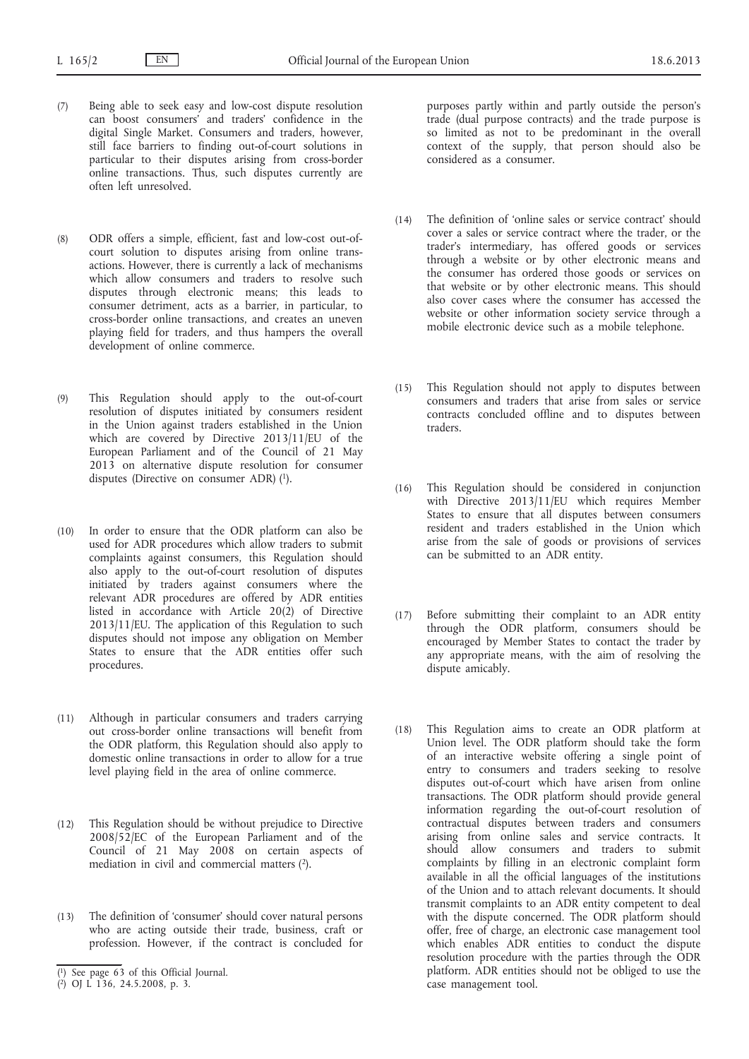- (7) Being able to seek easy and low-cost dispute resolution can boost consumers' and traders' confidence in the digital Single Market. Consumers and traders, however, still face barriers to finding out-of-court solutions in particular to their disputes arising from cross-border online transactions. Thus, such disputes currently are often left unresolved.
- (8) ODR offers a simple, efficient, fast and low-cost out-ofcourt solution to disputes arising from online transactions. However, there is currently a lack of mechanisms which allow consumers and traders to resolve such disputes through electronic means; this leads to consumer detriment, acts as a barrier, in particular, to cross-border online transactions, and creates an uneven playing field for traders, and thus hampers the overall development of online commerce.
- (9) This Regulation should apply to the out-of-court resolution of disputes initiated by consumers resident in the Union against traders established in the Union which are covered by Directive 2013/11/EU of the European Parliament and of the Council of 21 May 2013 on alternative dispute resolution for consumer disputes (Directive on consumer ADR)  $(1)$ .
- (10) In order to ensure that the ODR platform can also be used for ADR procedures which allow traders to submit complaints against consumers, this Regulation should also apply to the out-of-court resolution of disputes initiated by traders against consumers where the relevant ADR procedures are offered by ADR entities listed in accordance with Article  $20(2)$  of Directive 2013/11/EU. The application of this Regulation to such disputes should not impose any obligation on Member States to ensure that the ADR entities offer such procedures.
- (11) Although in particular consumers and traders carrying out cross-border online transactions will benefit from the ODR platform, this Regulation should also apply to domestic online transactions in order to allow for a true level playing field in the area of online commerce.
- (12) This Regulation should be without prejudice to Directive 2008/52/EC of the European Parliament and of the Council of 21 May 2008 on certain aspects of mediation in civil and commercial matters (2).
- (13) The definition of 'consumer' should cover natural persons who are acting outside their trade, business, craft or profession. However, if the contract is concluded for

purposes partly within and partly outside the person's trade (dual purpose contracts) and the trade purpose is so limited as not to be predominant in the overall context of the supply, that person should also be considered as a consumer.

- (14) The definition of 'online sales or service contract' should cover a sales or service contract where the trader, or the trader's intermediary, has offered goods or services through a website or by other electronic means and the consumer has ordered those goods or services on that website or by other electronic means. This should also cover cases where the consumer has accessed the website or other information society service through a mobile electronic device such as a mobile telephone.
- (15) This Regulation should not apply to disputes between consumers and traders that arise from sales or service contracts concluded offline and to disputes between traders.
- (16) This Regulation should be considered in conjunction with Directive 2013/11/EU which requires Member States to ensure that all disputes between consumers resident and traders established in the Union which arise from the sale of goods or provisions of services can be submitted to an ADR entity.
- (17) Before submitting their complaint to an ADR entity through the ODR platform, consumers should be encouraged by Member States to contact the trader by any appropriate means, with the aim of resolving the dispute amicably.
- (18) This Regulation aims to create an ODR platform at Union level. The ODR platform should take the form of an interactive website offering a single point of entry to consumers and traders seeking to resolve disputes out-of-court which have arisen from online transactions. The ODR platform should provide general information regarding the out-of-court resolution of contractual disputes between traders and consumers arising from online sales and service contracts. It should allow consumers and traders to submit complaints by filling in an electronic complaint form available in all the official languages of the institutions of the Union and to attach relevant documents. It should transmit complaints to an ADR entity competent to deal with the dispute concerned. The ODR platform should offer, free of charge, an electronic case management tool which enables ADR entities to conduct the dispute resolution procedure with the parties through the ODR platform. ADR entities should not be obliged to use the case management tool.

<sup>(</sup> 1) See page 63 of this Official Journal.

<sup>(</sup> 2) OJ L 136, 24.5.2008, p. 3.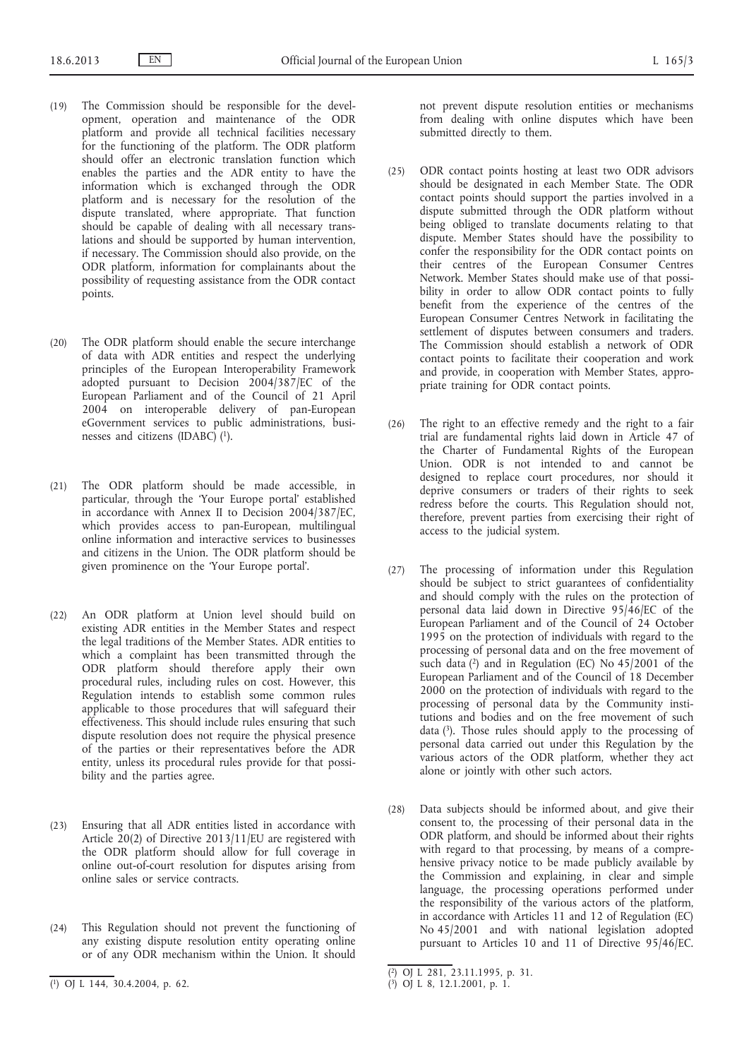- (19) The Commission should be responsible for the development, operation and maintenance of the ODR platform and provide all technical facilities necessary for the functioning of the platform. The ODR platform should offer an electronic translation function which enables the parties and the ADR entity to have the information which is exchanged through the ODR platform and is necessary for the resolution of the dispute translated, where appropriate. That function should be capable of dealing with all necessary translations and should be supported by human intervention, if necessary. The Commission should also provide, on the ODR platform, information for complainants about the possibility of requesting assistance from the ODR contact points.
- (20) The ODR platform should enable the secure interchange of data with ADR entities and respect the underlying principles of the European Interoperability Framework adopted pursuant to Decision 2004/387/EC of the European Parliament and of the Council of 21 April 2004 on interoperable delivery of pan-European eGovernment services to public administrations, businesses and citizens (IDABC)  $(1)$ .
- (21) The ODR platform should be made accessible, in particular, through the 'Your Europe portal' established in accordance with Annex II to Decision 2004/387/EC, which provides access to pan-European, multilingual online information and interactive services to businesses and citizens in the Union. The ODR platform should be given prominence on the 'Your Europe portal'.
- (22) An ODR platform at Union level should build on existing ADR entities in the Member States and respect the legal traditions of the Member States. ADR entities to which a complaint has been transmitted through the ODR platform should therefore apply their own procedural rules, including rules on cost. However, this Regulation intends to establish some common rules applicable to those procedures that will safeguard their effectiveness. This should include rules ensuring that such dispute resolution does not require the physical presence of the parties or their representatives before the ADR entity, unless its procedural rules provide for that possibility and the parties agree.
- (23) Ensuring that all ADR entities listed in accordance with Article 20(2) of Directive 2013/11/EU are registered with the ODR platform should allow for full coverage in online out-of-court resolution for disputes arising from online sales or service contracts.
- (24) This Regulation should not prevent the functioning of any existing dispute resolution entity operating online or of any ODR mechanism within the Union. It should

not prevent dispute resolution entities or mechanisms from dealing with online disputes which have been submitted directly to them.

- (25) ODR contact points hosting at least two ODR advisors should be designated in each Member State. The ODR contact points should support the parties involved in a dispute submitted through the ODR platform without being obliged to translate documents relating to that dispute. Member States should have the possibility to confer the responsibility for the ODR contact points on their centres of the European Consumer Centres Network. Member States should make use of that possibility in order to allow ODR contact points to fully benefit from the experience of the centres of the European Consumer Centres Network in facilitating the settlement of disputes between consumers and traders. The Commission should establish a network of ODR contact points to facilitate their cooperation and work and provide, in cooperation with Member States, appropriate training for ODR contact points.
- (26) The right to an effective remedy and the right to a fair trial are fundamental rights laid down in Article 47 of the Charter of Fundamental Rights of the European Union. ODR is not intended to and cannot be designed to replace court procedures, nor should it deprive consumers or traders of their rights to seek redress before the courts. This Regulation should not, therefore, prevent parties from exercising their right of access to the judicial system.
- (27) The processing of information under this Regulation should be subject to strict guarantees of confidentiality and should comply with the rules on the protection of personal data laid down in Directive 95/46/EC of the European Parliament and of the Council of 24 October 1995 on the protection of individuals with regard to the processing of personal data and on the free movement of such data  $(2)$  and in Regulation (EC) No  $45/2001$  of the European Parliament and of the Council of 18 December 2000 on the protection of individuals with regard to the processing of personal data by the Community institutions and bodies and on the free movement of such data  $(3)$ . Those rules should apply to the processing of personal data carried out under this Regulation by the various actors of the ODR platform, whether they act alone or jointly with other such actors.
- (28) Data subjects should be informed about, and give their consent to, the processing of their personal data in the ODR platform, and should be informed about their rights with regard to that processing, by means of a comprehensive privacy notice to be made publicly available by the Commission and explaining, in clear and simple language, the processing operations performed under the responsibility of the various actors of the platform, in accordance with Articles 11 and 12 of Regulation (EC) No 45/2001 and with national legislation adopted pursuant to Articles 10 and 11 of Directive 95/46/EC.

<sup>(</sup> 1) OJ L 144, 30.4.2004, p. 62.

<sup>(</sup> 2) OJ L 281, 23.11.1995, p. 31.

<sup>(</sup> 3) OJ L 8, 12.1.2001, p. 1.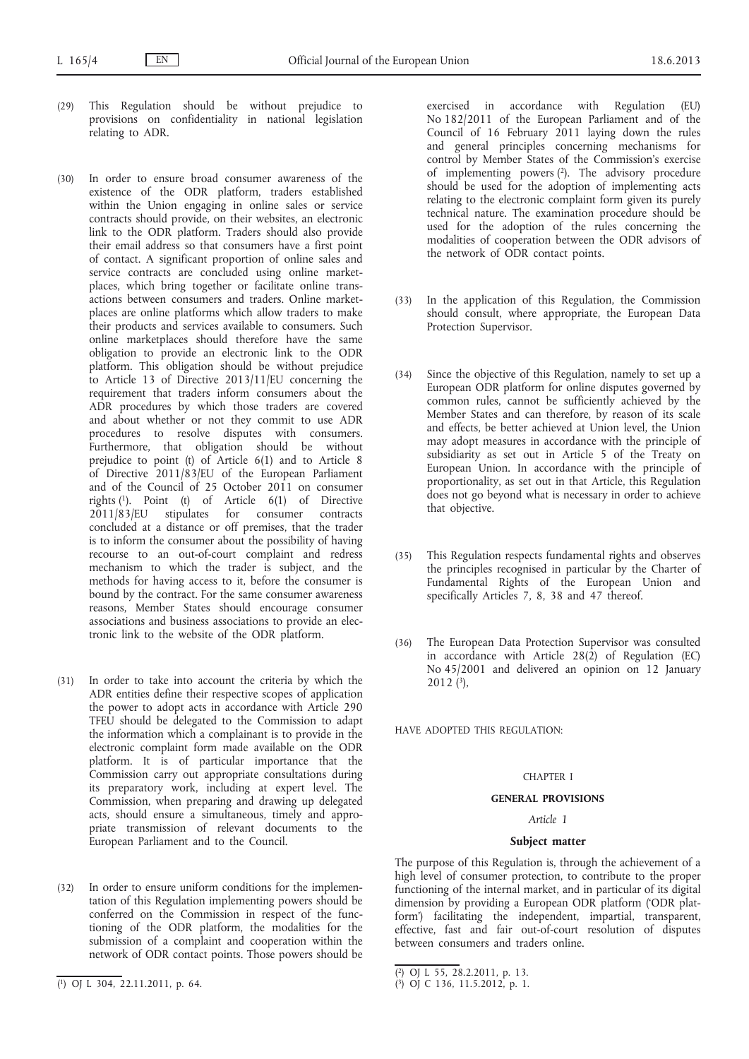- (29) This Regulation should be without prejudice to provisions on confidentiality in national legislation relating to ADR.
- (30) In order to ensure broad consumer awareness of the existence of the ODR platform, traders established within the Union engaging in online sales or service contracts should provide, on their websites, an electronic link to the ODR platform. Traders should also provide their email address so that consumers have a first point of contact. A significant proportion of online sales and service contracts are concluded using online marketplaces, which bring together or facilitate online transactions between consumers and traders. Online marketplaces are online platforms which allow traders to make their products and services available to consumers. Such online marketplaces should therefore have the same obligation to provide an electronic link to the ODR platform. This obligation should be without prejudice to Article 13 of Directive 2013/11/EU concerning the requirement that traders inform consumers about the ADR procedures by which those traders are covered and about whether or not they commit to use ADR procedures to resolve disputes with consumers. Furthermore, that obligation should be without prejudice to point (t) of Article 6(1) and to Article 8 of Directive 2011/83/EU of the European Parliament and of the Council of 25 October 2011 on consumer rights (1). Point (t) of Article 6(1) of Directive 2011/83/EU stipulates for consumer contracts concluded at a distance or off premises, that the trader is to inform the consumer about the possibility of having recourse to an out-of-court complaint and redress mechanism to which the trader is subject, and the methods for having access to it, before the consumer is bound by the contract. For the same consumer awareness reasons, Member States should encourage consumer associations and business associations to provide an electronic link to the website of the ODR platform.
- (31) In order to take into account the criteria by which the ADR entities define their respective scopes of application the power to adopt acts in accordance with Article 290 TFEU should be delegated to the Commission to adapt the information which a complainant is to provide in the electronic complaint form made available on the ODR platform. It is of particular importance that the Commission carry out appropriate consultations during its preparatory work, including at expert level. The Commission, when preparing and drawing up delegated acts, should ensure a simultaneous, timely and appropriate transmission of relevant documents to the European Parliament and to the Council.
- (32) In order to ensure uniform conditions for the implementation of this Regulation implementing powers should be conferred on the Commission in respect of the functioning of the ODR platform, the modalities for the submission of a complaint and cooperation within the network of ODR contact points. Those powers should be

exercised in accordance with Regulation (EU) No 182/2011 of the European Parliament and of the Council of 16 February 2011 laying down the rules and general principles concerning mechanisms for control by Member States of the Commission's exercise of implementing powers  $(2)$ . The advisory procedure should be used for the adoption of implementing acts relating to the electronic complaint form given its purely technical nature. The examination procedure should be used for the adoption of the rules concerning the modalities of cooperation between the ODR advisors of the network of ODR contact points.

- (33) In the application of this Regulation, the Commission should consult, where appropriate, the European Data Protection Supervisor.
- (34) Since the objective of this Regulation, namely to set up a European ODR platform for online disputes governed by common rules, cannot be sufficiently achieved by the Member States and can therefore, by reason of its scale and effects, be better achieved at Union level, the Union may adopt measures in accordance with the principle of subsidiarity as set out in Article 5 of the Treaty on European Union. In accordance with the principle of proportionality, as set out in that Article, this Regulation does not go beyond what is necessary in order to achieve that objective.
- (35) This Regulation respects fundamental rights and observes the principles recognised in particular by the Charter of Fundamental Rights of the European Union and specifically Articles 7, 8, 38 and 47 thereof.
- (36) The European Data Protection Supervisor was consulted in accordance with Article  $28(2)$  of Regulation (EC) No 45/2001 and delivered an opinion on 12 January  $2012$   $(3)$ ,

HAVE ADOPTED THIS REGULATION:

## CHAPTER I

#### **GENERAL PROVISIONS**

# *Article 1*

#### **Subject matter**

The purpose of this Regulation is, through the achievement of a high level of consumer protection, to contribute to the proper functioning of the internal market, and in particular of its digital dimension by providing a European ODR platform ('ODR platform') facilitating the independent, impartial, transparent, effective, fast and fair out-of-court resolution of disputes between consumers and traders online.

<sup>(</sup> 1) OJ L 304, 22.11.2011, p. 64.

<sup>(</sup> 2) OJ L 55, 28.2.2011, p. 13.

<sup>(</sup> 3) OJ C 136, 11.5.2012, p. 1.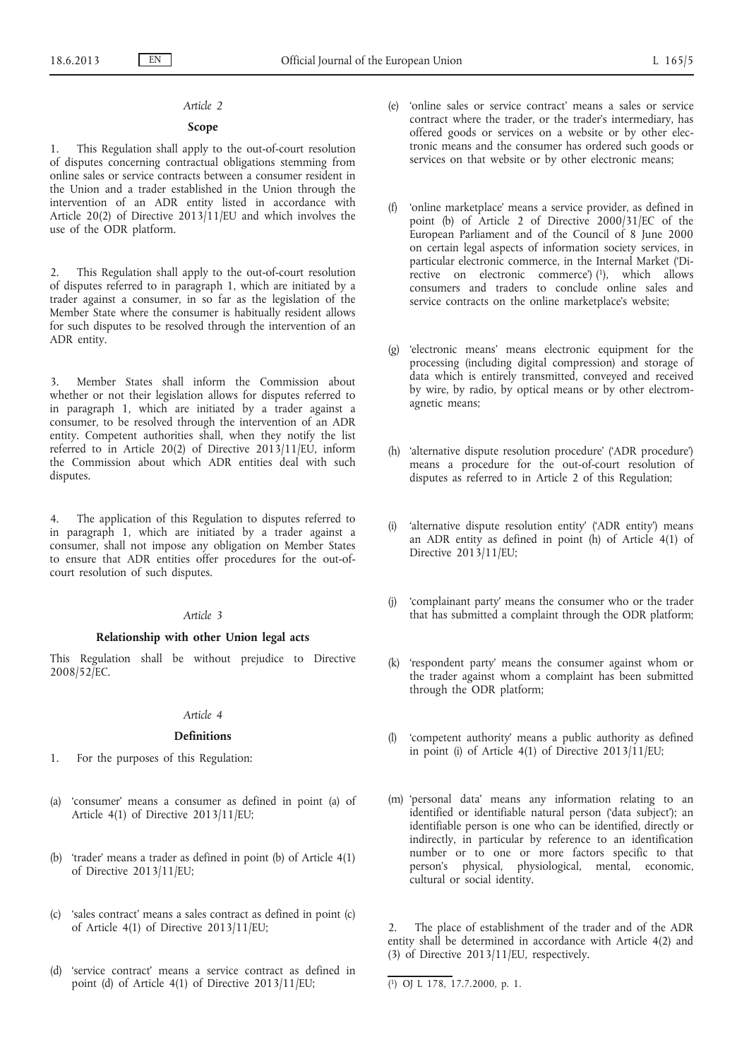#### **Scope**

1. This Regulation shall apply to the out-of-court resolution of disputes concerning contractual obligations stemming from online sales or service contracts between a consumer resident in the Union and a trader established in the Union through the intervention of an ADR entity listed in accordance with Article 20(2) of Directive 2013/11/EU and which involves the use of the ODR platform.

2. This Regulation shall apply to the out-of-court resolution of disputes referred to in paragraph 1, which are initiated by a trader against a consumer, in so far as the legislation of the Member State where the consumer is habitually resident allows for such disputes to be resolved through the intervention of an ADR entity.

3. Member States shall inform the Commission about whether or not their legislation allows for disputes referred to in paragraph 1, which are initiated by a trader against a consumer, to be resolved through the intervention of an ADR entity. Competent authorities shall, when they notify the list referred to in Article 20(2) of Directive 2013/11/EU, inform the Commission about which ADR entities deal with such disputes.

4. The application of this Regulation to disputes referred to in paragraph 1, which are initiated by a trader against a consumer, shall not impose any obligation on Member States to ensure that ADR entities offer procedures for the out-ofcourt resolution of such disputes.

#### *Article 3*

## **Relationship with other Union legal acts**

This Regulation shall be without prejudice to Directive 2008/52/EC.

#### *Article 4*

## **Definitions**

- 1. For the purposes of this Regulation:
- (a) 'consumer' means a consumer as defined in point (a) of Article 4(1) of Directive 2013/11/EU;
- (b) 'trader' means a trader as defined in point (b) of Article 4(1) of Directive 2013/11/EU;
- (c) 'sales contract' means a sales contract as defined in point (c) of Article 4(1) of Directive 2013/11/EU;
- (d) 'service contract' means a service contract as defined in point (d) of Article 4(1) of Directive 2013/11/EU;
- (e) 'online sales or service contract' means a sales or service contract where the trader, or the trader's intermediary, has offered goods or services on a website or by other electronic means and the consumer has ordered such goods or services on that website or by other electronic means;
- 'online marketplace' means a service provider, as defined in point (b) of Article 2 of Directive 2000/31/EC of the European Parliament and of the Council of 8 June 2000 on certain legal aspects of information society services, in particular electronic commerce, in the Internal Market ('Directive on electronic commerce')  $(1)$ , which allows consumers and traders to conclude online sales and service contracts on the online marketplace's website;
- (g) 'electronic means' means electronic equipment for the processing (including digital compression) and storage of data which is entirely transmitted, conveyed and received by wire, by radio, by optical means or by other electromagnetic means;
- (h) 'alternative dispute resolution procedure' ('ADR procedure') means a procedure for the out-of-court resolution of disputes as referred to in Article 2 of this Regulation;
- 'alternative dispute resolution entity' ('ADR entity') means an ADR entity as defined in point (h) of Article 4(1) of Directive 2013/11/EU;
- 'complainant party' means the consumer who or the trader that has submitted a complaint through the ODR platform;
- (k) 'respondent party' means the consumer against whom or the trader against whom a complaint has been submitted through the ODR platform;
- 'competent authority' means a public authority as defined in point (i) of Article 4(1) of Directive 2013/11/EU;
- (m) 'personal data' means any information relating to an identified or identifiable natural person ('data subject'); an identifiable person is one who can be identified, directly or indirectly, in particular by reference to an identification number or to one or more factors specific to that person's physical, physiological, mental, economic, cultural or social identity.

The place of establishment of the trader and of the ADR entity shall be determined in accordance with Article 4(2) and (3) of Directive 2013/11/EU, respectively.

<sup>(</sup> 1) OJ L 178, 17.7.2000, p. 1.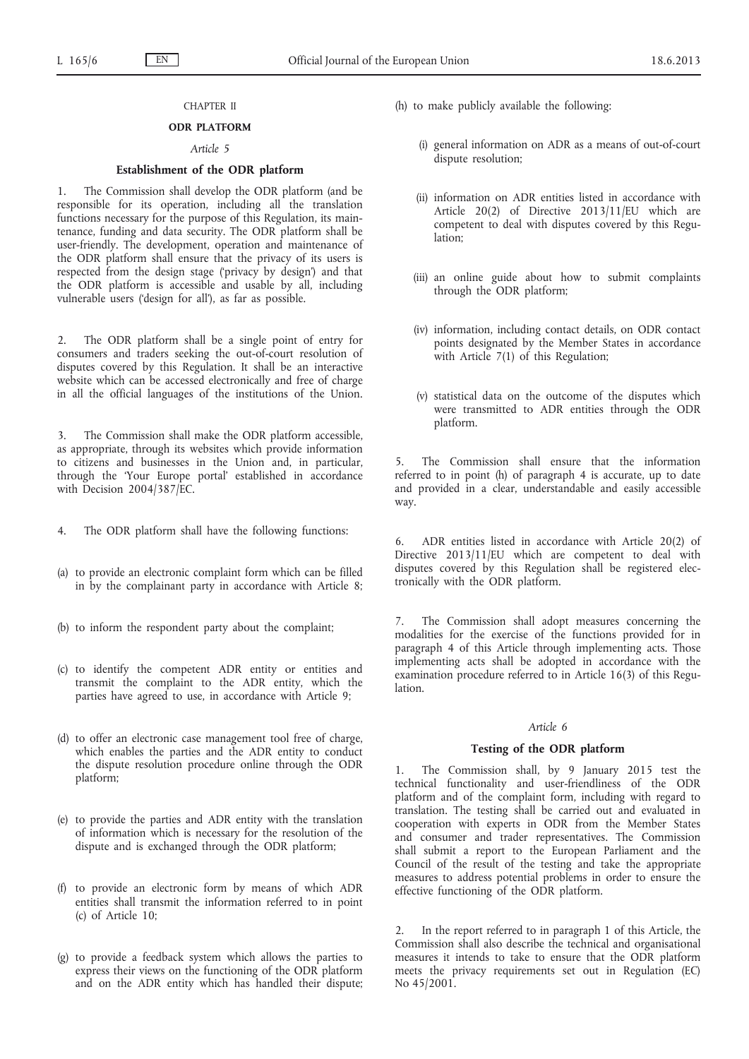# CHAPTER II

## **ODR PLATFORM**

# *Article 5*

## **Establishment of the ODR platform**

1. The Commission shall develop the ODR platform (and be responsible for its operation, including all the translation functions necessary for the purpose of this Regulation, its maintenance, funding and data security. The ODR platform shall be user-friendly. The development, operation and maintenance of the ODR platform shall ensure that the privacy of its users is respected from the design stage ('privacy by design') and that the ODR platform is accessible and usable by all, including vulnerable users ('design for all'), as far as possible.

2. The ODR platform shall be a single point of entry for consumers and traders seeking the out-of-court resolution of disputes covered by this Regulation. It shall be an interactive website which can be accessed electronically and free of charge in all the official languages of the institutions of the Union.

3. The Commission shall make the ODR platform accessible, as appropriate, through its websites which provide information to citizens and businesses in the Union and, in particular, through the 'Your Europe portal' established in accordance with Decision 2004/387/EC.

- 4. The ODR platform shall have the following functions:
- (a) to provide an electronic complaint form which can be filled in by the complainant party in accordance with Article 8;
- (b) to inform the respondent party about the complaint;
- (c) to identify the competent ADR entity or entities and transmit the complaint to the ADR entity, which the parties have agreed to use, in accordance with Article 9;
- (d) to offer an electronic case management tool free of charge, which enables the parties and the ADR entity to conduct the dispute resolution procedure online through the ODR platform;
- (e) to provide the parties and ADR entity with the translation of information which is necessary for the resolution of the dispute and is exchanged through the ODR platform;
- (f) to provide an electronic form by means of which ADR entities shall transmit the information referred to in point (c) of Article 10;
- (g) to provide a feedback system which allows the parties to express their views on the functioning of the ODR platform and on the ADR entity which has handled their dispute;
- (h) to make publicly available the following:
	- (i) general information on ADR as a means of out-of-court dispute resolution;
	- (ii) information on ADR entities listed in accordance with Article 20(2) of Directive 2013/11/EU which are competent to deal with disputes covered by this Regulation:
	- (iii) an online guide about how to submit complaints through the ODR platform;
	- (iv) information, including contact details, on ODR contact points designated by the Member States in accordance with Article 7(1) of this Regulation;
	- (v) statistical data on the outcome of the disputes which were transmitted to ADR entities through the ODR platform.

The Commission shall ensure that the information referred to in point (h) of paragraph 4 is accurate, up to date and provided in a clear, understandable and easily accessible way.

6. ADR entities listed in accordance with Article 20(2) of Directive 2013/11/EU which are competent to deal with disputes covered by this Regulation shall be registered electronically with the ODR platform.

7. The Commission shall adopt measures concerning the modalities for the exercise of the functions provided for in paragraph 4 of this Article through implementing acts. Those implementing acts shall be adopted in accordance with the examination procedure referred to in Article 16(3) of this Regulation.

#### *Article 6*

## **Testing of the ODR platform**

1. The Commission shall, by 9 January 2015 test the technical functionality and user-friendliness of the ODR platform and of the complaint form, including with regard to translation. The testing shall be carried out and evaluated in cooperation with experts in ODR from the Member States and consumer and trader representatives. The Commission shall submit a report to the European Parliament and the Council of the result of the testing and take the appropriate measures to address potential problems in order to ensure the effective functioning of the ODR platform.

In the report referred to in paragraph 1 of this Article, the Commission shall also describe the technical and organisational measures it intends to take to ensure that the ODR platform meets the privacy requirements set out in Regulation (EC) No 45/2001.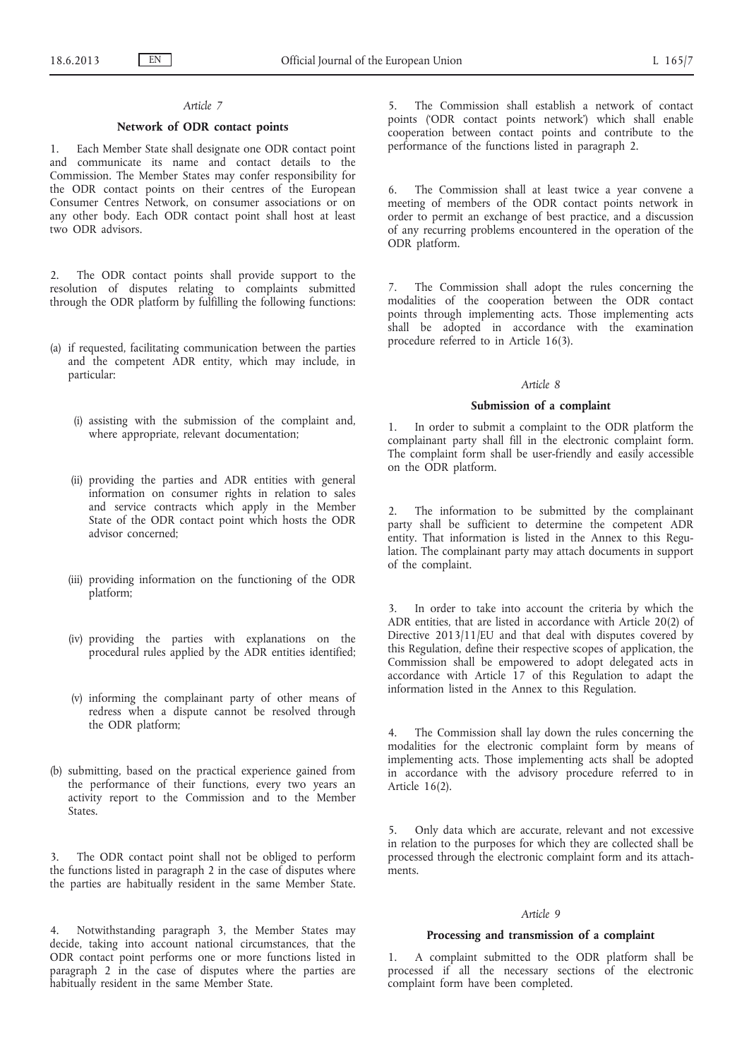## **Network of ODR contact points**

1. Each Member State shall designate one ODR contact point and communicate its name and contact details to the Commission. The Member States may confer responsibility for the ODR contact points on their centres of the European Consumer Centres Network, on consumer associations or on any other body. Each ODR contact point shall host at least two ODR advisors.

2. The ODR contact points shall provide support to the resolution of disputes relating to complaints submitted through the ODR platform by fulfilling the following functions:

- (a) if requested, facilitating communication between the parties and the competent ADR entity, which may include, in particular:
	- (i) assisting with the submission of the complaint and, where appropriate, relevant documentation;
	- (ii) providing the parties and ADR entities with general information on consumer rights in relation to sales and service contracts which apply in the Member State of the ODR contact point which hosts the ODR advisor concerned;
	- (iii) providing information on the functioning of the ODR platform;
	- (iv) providing the parties with explanations on the procedural rules applied by the ADR entities identified;
	- (v) informing the complainant party of other means of redress when a dispute cannot be resolved through the ODR platform;
- (b) submitting, based on the practical experience gained from the performance of their functions, every two years an activity report to the Commission and to the Member States.

The ODR contact point shall not be obliged to perform the functions listed in paragraph 2 in the case of disputes where the parties are habitually resident in the same Member State.

4. Notwithstanding paragraph 3, the Member States may decide, taking into account national circumstances, that the ODR contact point performs one or more functions listed in paragraph 2 in the case of disputes where the parties are habitually resident in the same Member State.

The Commission shall establish a network of contact points ('ODR contact points network') which shall enable cooperation between contact points and contribute to the performance of the functions listed in paragraph 2.

6. The Commission shall at least twice a year convene a meeting of members of the ODR contact points network in order to permit an exchange of best practice, and a discussion of any recurring problems encountered in the operation of the ODR platform.

7. The Commission shall adopt the rules concerning the modalities of the cooperation between the ODR contact points through implementing acts. Those implementing acts shall be adopted in accordance with the examination procedure referred to in Article 16(3).

## *Article 8*

## **Submission of a complaint**

1. In order to submit a complaint to the ODR platform the complainant party shall fill in the electronic complaint form. The complaint form shall be user-friendly and easily accessible on the ODR platform.

2. The information to be submitted by the complainant party shall be sufficient to determine the competent ADR entity. That information is listed in the Annex to this Regulation. The complainant party may attach documents in support of the complaint.

3. In order to take into account the criteria by which the ADR entities, that are listed in accordance with Article 20(2) of Directive 2013/11/EU and that deal with disputes covered by this Regulation, define their respective scopes of application, the Commission shall be empowered to adopt delegated acts in accordance with Article 17 of this Regulation to adapt the information listed in the Annex to this Regulation.

4. The Commission shall lay down the rules concerning the modalities for the electronic complaint form by means of implementing acts. Those implementing acts shall be adopted in accordance with the advisory procedure referred to in Article 16(2).

5. Only data which are accurate, relevant and not excessive in relation to the purposes for which they are collected shall be processed through the electronic complaint form and its attachments.

#### *Article 9*

#### **Processing and transmission of a complaint**

1. A complaint submitted to the ODR platform shall be processed if all the necessary sections of the electronic complaint form have been completed.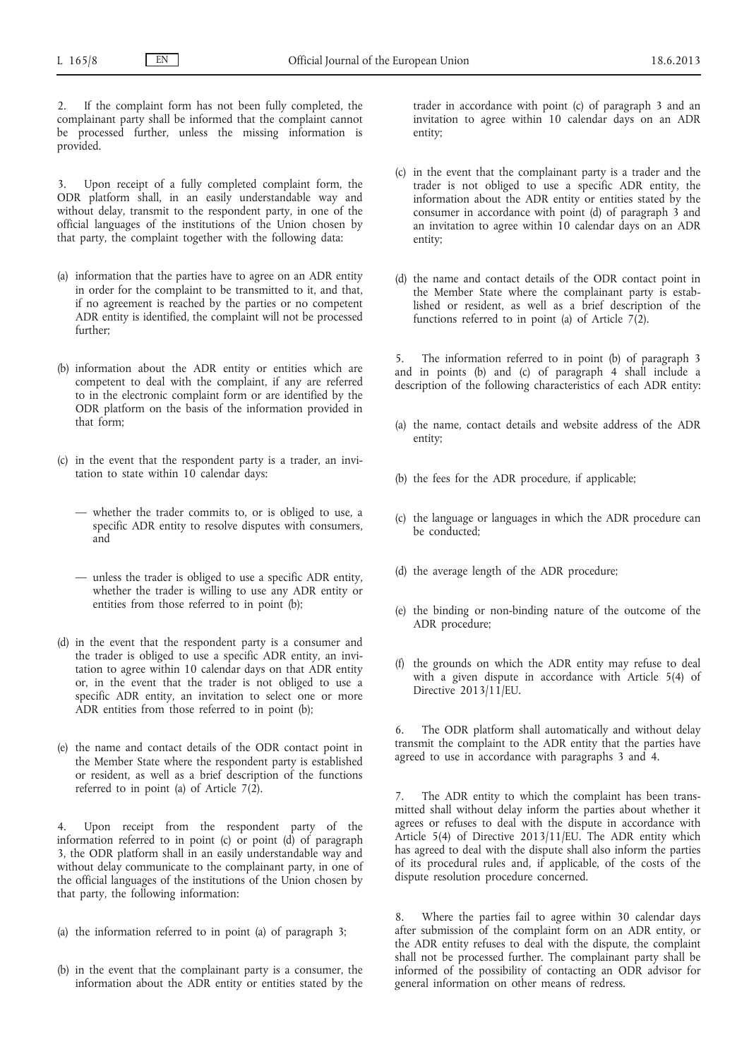If the complaint form has not been fully completed, the complainant party shall be informed that the complaint cannot be processed further, unless the missing information is provided.

3. Upon receipt of a fully completed complaint form, the ODR platform shall, in an easily understandable way and without delay, transmit to the respondent party, in one of the official languages of the institutions of the Union chosen by that party, the complaint together with the following data:

- (a) information that the parties have to agree on an ADR entity in order for the complaint to be transmitted to it, and that, if no agreement is reached by the parties or no competent ADR entity is identified, the complaint will not be processed further;
- (b) information about the ADR entity or entities which are competent to deal with the complaint, if any are referred to in the electronic complaint form or are identified by the ODR platform on the basis of the information provided in that form;
- (c) in the event that the respondent party is a trader, an invitation to state within  $10$  calendar days:
	- whether the trader commits to, or is obliged to use, a specific ADR entity to resolve disputes with consumers, and
	- unless the trader is obliged to use a specific ADR entity, whether the trader is willing to use any ADR entity or entities from those referred to in point (b);
- (d) in the event that the respondent party is a consumer and the trader is obliged to use a specific ADR entity, an invitation to agree within 10 calendar days on that ADR entity or, in the event that the trader is not obliged to use a specific ADR entity, an invitation to select one or more ADR entities from those referred to in point (b);
- (e) the name and contact details of the ODR contact point in the Member State where the respondent party is established or resident, as well as a brief description of the functions referred to in point (a) of Article  $7(2)$ .

4. Upon receipt from the respondent party of the information referred to in point (c) or point (d) of paragraph 3, the ODR platform shall in an easily understandable way and without delay communicate to the complainant party, in one of the official languages of the institutions of the Union chosen by that party, the following information:

- (a) the information referred to in point (a) of paragraph 3;
- (b) in the event that the complainant party is a consumer, the information about the ADR entity or entities stated by the

trader in accordance with point (c) of paragraph 3 and an invitation to agree within 10 calendar days on an ADR entity;

- (c) in the event that the complainant party is a trader and the trader is not obliged to use a specific ADR entity, the information about the ADR entity or entities stated by the consumer in accordance with point (d) of paragraph 3 and an invitation to agree within 10 calendar days on an ADR entity;
- (d) the name and contact details of the ODR contact point in the Member State where the complainant party is established or resident, as well as a brief description of the functions referred to in point (a) of Article  $7(2)$ .

The information referred to in point (b) of paragraph 3 and in points (b) and (c) of paragraph 4 shall include a description of the following characteristics of each ADR entity:

- (a) the name, contact details and website address of the ADR entity;
- (b) the fees for the ADR procedure, if applicable;
- (c) the language or languages in which the ADR procedure can be conducted;
- (d) the average length of the ADR procedure;
- (e) the binding or non-binding nature of the outcome of the ADR procedure;
- (f) the grounds on which the ADR entity may refuse to deal with a given dispute in accordance with Article 5(4) of Directive 2013/11/EU.

The ODR platform shall automatically and without delay transmit the complaint to the ADR entity that the parties have agreed to use in accordance with paragraphs 3 and 4.

The ADR entity to which the complaint has been transmitted shall without delay inform the parties about whether it agrees or refuses to deal with the dispute in accordance with Article 5(4) of Directive 2013/11/EU. The ADR entity which has agreed to deal with the dispute shall also inform the parties of its procedural rules and, if applicable, of the costs of the dispute resolution procedure concerned.

Where the parties fail to agree within 30 calendar days after submission of the complaint form on an ADR entity, or the ADR entity refuses to deal with the dispute, the complaint shall not be processed further. The complainant party shall be informed of the possibility of contacting an ODR advisor for general information on other means of redress.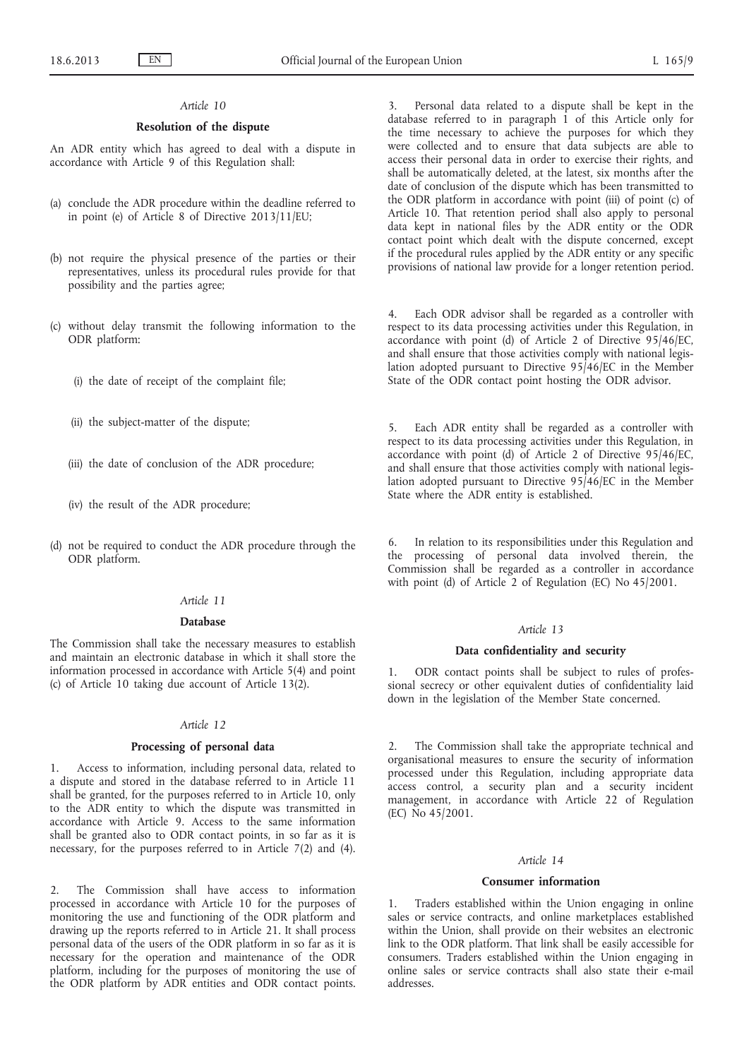## **Resolution of the dispute**

An ADR entity which has agreed to deal with a dispute in accordance with Article 9 of this Regulation shall:

- (a) conclude the ADR procedure within the deadline referred to in point (e) of Article 8 of Directive 2013/11/EU;
- (b) not require the physical presence of the parties or their representatives, unless its procedural rules provide for that possibility and the parties agree;
- (c) without delay transmit the following information to the ODR platform:
	- (i) the date of receipt of the complaint file;
	- (ii) the subject-matter of the dispute;
	- (iii) the date of conclusion of the ADR procedure;
	- (iv) the result of the ADR procedure;
- (d) not be required to conduct the ADR procedure through the ODR platform.

#### *Article 11*

#### **Database**

The Commission shall take the necessary measures to establish and maintain an electronic database in which it shall store the information processed in accordance with Article 5(4) and point (c) of Article 10 taking due account of Article 13(2).

#### *Article 12*

## **Processing of personal data**

1. Access to information, including personal data, related to a dispute and stored in the database referred to in Article 11 shall be granted, for the purposes referred to in Article 10, only to the ADR entity to which the dispute was transmitted in accordance with Article 9. Access to the same information shall be granted also to ODR contact points, in so far as it is necessary, for the purposes referred to in Article 7(2) and (4).

2. The Commission shall have access to information processed in accordance with Article 10 for the purposes of monitoring the use and functioning of the ODR platform and drawing up the reports referred to in Article 21. It shall process personal data of the users of the ODR platform in so far as it is necessary for the operation and maintenance of the ODR platform, including for the purposes of monitoring the use of the ODR platform by ADR entities and ODR contact points.

Personal data related to a dispute shall be kept in the database referred to in paragraph  $\hat{1}$  of this Article only for the time necessary to achieve the purposes for which they were collected and to ensure that data subjects are able to access their personal data in order to exercise their rights, and shall be automatically deleted, at the latest, six months after the date of conclusion of the dispute which has been transmitted to the ODR platform in accordance with point (iii) of point (c) of Article 10. That retention period shall also apply to personal data kept in national files by the ADR entity or the ODR contact point which dealt with the dispute concerned, except if the procedural rules applied by the ADR entity or any specific provisions of national law provide for a longer retention period.

Each ODR advisor shall be regarded as a controller with respect to its data processing activities under this Regulation, in accordance with point (d) of Article 2 of Directive 95/46/EC, and shall ensure that those activities comply with national legislation adopted pursuant to Directive 95/46/EC in the Member State of the ODR contact point hosting the ODR advisor.

5. Each ADR entity shall be regarded as a controller with respect to its data processing activities under this Regulation, in accordance with point (d) of Article 2 of Directive 95/46/EC, and shall ensure that those activities comply with national legislation adopted pursuant to Directive 95/46/EC in the Member State where the ADR entity is established.

6. In relation to its responsibilities under this Regulation and the processing of personal data involved therein, the Commission shall be regarded as a controller in accordance with point (d) of Article 2 of Regulation (EC) No 45/2001.

# *Article 13*

## **Data confidentiality and security**

1. ODR contact points shall be subject to rules of professional secrecy or other equivalent duties of confidentiality laid down in the legislation of the Member State concerned.

2. The Commission shall take the appropriate technical and organisational measures to ensure the security of information processed under this Regulation, including appropriate data access control, a security plan and a security incident management, in accordance with Article 22 of Regulation (EC) No 45/2001.

## *Article 14*

#### **Consumer information**

1. Traders established within the Union engaging in online sales or service contracts, and online marketplaces established within the Union, shall provide on their websites an electronic link to the ODR platform. That link shall be easily accessible for consumers. Traders established within the Union engaging in online sales or service contracts shall also state their e-mail addresses.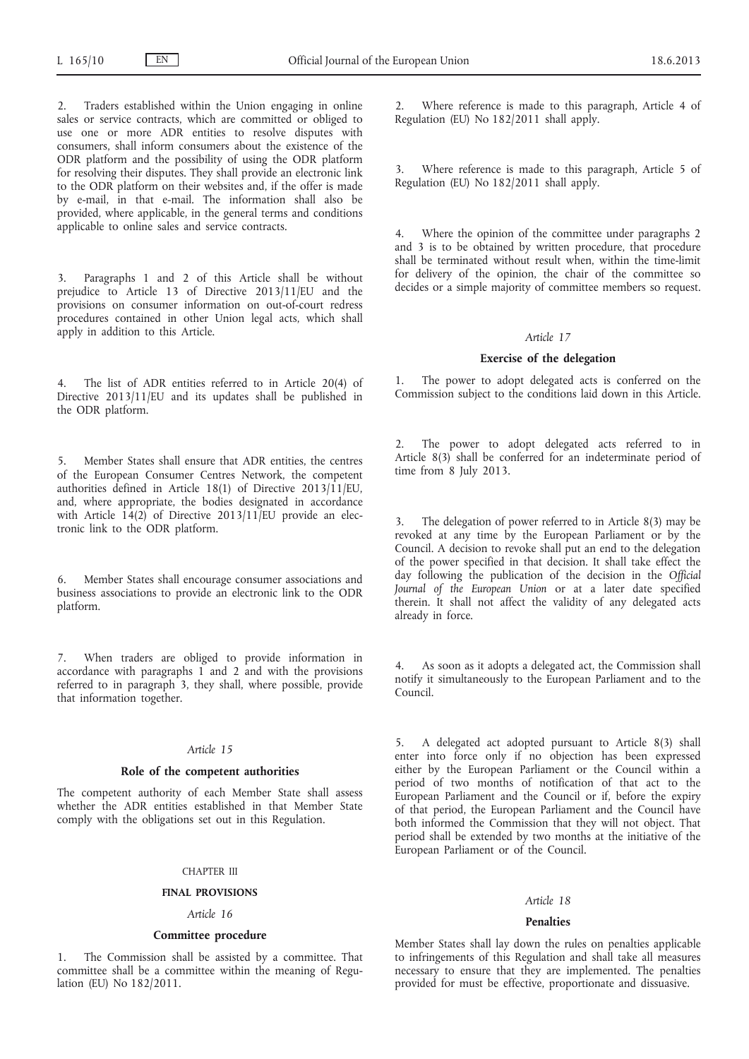Traders established within the Union engaging in online sales or service contracts, which are committed or obliged to use one or more ADR entities to resolve disputes with consumers, shall inform consumers about the existence of the ODR platform and the possibility of using the ODR platform for resolving their disputes. They shall provide an electronic link to the ODR platform on their websites and, if the offer is made by e-mail, in that e-mail. The information shall also be provided, where applicable, in the general terms and conditions applicable to online sales and service contracts.

3. Paragraphs 1 and 2 of this Article shall be without prejudice to Article 13 of Directive 2013/11/EU and the provisions on consumer information on out-of-court redress procedures contained in other Union legal acts, which shall apply in addition to this Article.

4. The list of ADR entities referred to in Article 20(4) of Directive 2013/11/EU and its updates shall be published in the ODR platform.

5. Member States shall ensure that ADR entities, the centres of the European Consumer Centres Network, the competent authorities defined in Article 18(1) of Directive 2013/11/EU, and, where appropriate, the bodies designated in accordance with Article  $14(2)$  of Directive 2013/11/EU provide an electronic link to the ODR platform.

6. Member States shall encourage consumer associations and business associations to provide an electronic link to the ODR platform.

7. When traders are obliged to provide information in accordance with paragraphs  $1$  and  $2$  and with the provisions referred to in paragraph 3, they shall, where possible, provide that information together.

## *Article 15*

#### **Role of the competent authorities**

The competent authority of each Member State shall assess whether the ADR entities established in that Member State comply with the obligations set out in this Regulation.

## CHAPTER III

## **FINAL PROVISIONS**

# *Article 16*

#### **Committee procedure**

1. The Commission shall be assisted by a committee. That committee shall be a committee within the meaning of Regulation (EU) No 182/2011.

2. Where reference is made to this paragraph, Article 4 of Regulation (EU) No 182/2011 shall apply.

3. Where reference is made to this paragraph, Article 5 of Regulation (EU) No 182/2011 shall apply.

4. Where the opinion of the committee under paragraphs 2 and 3 is to be obtained by written procedure, that procedure shall be terminated without result when, within the time-limit for delivery of the opinion, the chair of the committee so decides or a simple majority of committee members so request.

#### *Article 17*

#### **Exercise of the delegation**

1. The power to adopt delegated acts is conferred on the Commission subject to the conditions laid down in this Article.

2. The power to adopt delegated acts referred to in Article 8(3) shall be conferred for an indeterminate period of time from 8 July 2013.

The delegation of power referred to in Article  $8(3)$  may be revoked at any time by the European Parliament or by the Council. A decision to revoke shall put an end to the delegation of the power specified in that decision. It shall take effect the day following the publication of the decision in the *Official Journal of the European Union* or at a later date specified therein. It shall not affect the validity of any delegated acts already in force.

4. As soon as it adopts a delegated act, the Commission shall notify it simultaneously to the European Parliament and to the Council.

5. A delegated act adopted pursuant to Article 8(3) shall enter into force only if no objection has been expressed either by the European Parliament or the Council within a period of two months of notification of that act to the European Parliament and the Council or if, before the expiry of that period, the European Parliament and the Council have both informed the Commission that they will not object. That period shall be extended by two months at the initiative of the European Parliament or of the Council.

# *Article 18*

#### **Penalties**

Member States shall lay down the rules on penalties applicable to infringements of this Regulation and shall take all measures necessary to ensure that they are implemented. The penalties provided for must be effective, proportionate and dissuasive.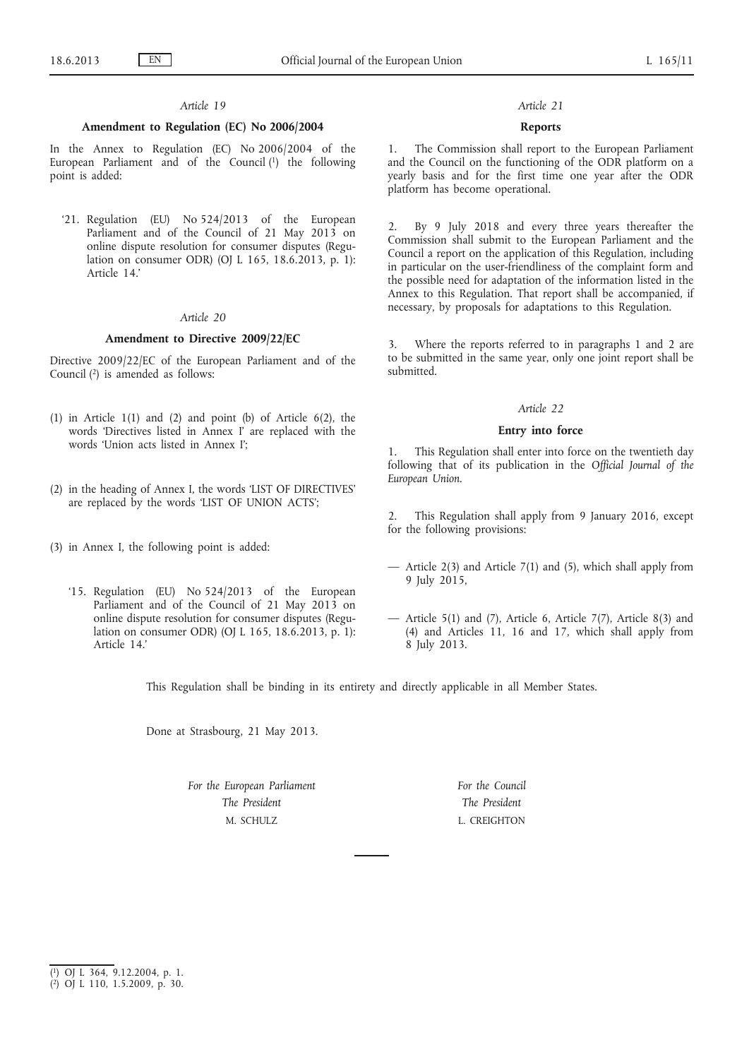## **Amendment to Regulation (EC) No 2006/2004**

In the Annex to Regulation (EC) No 2006/2004 of the European Parliament and of the Council  $(1)$  the following point is added:

'21. Regulation (EU) No 524/2013 of the European Parliament and of the Council of 21 May 2013 on online dispute resolution for consumer disputes (Regulation on consumer ODR) (OJ L 165, 18.6.2013, p. 1): Article 14.'

#### *Article 20*

#### **Amendment to Directive 2009/22/EC**

Directive 2009/22/EC of the European Parliament and of the Council (2) is amended as follows:

- (1) in Article 1(1) and (2) and point (b) of Article 6(2), the words 'Directives listed in Annex I' are replaced with the words 'Union acts listed in Annex I';
- (2) in the heading of Annex I, the words 'LIST OF DIRECTIVES' are replaced by the words 'LIST OF UNION ACTS';
- (3) in Annex I, the following point is added:
	- '15. Regulation (EU) No 524/2013 of the European Parliament and of the Council of 21 May 2013 on online dispute resolution for consumer disputes (Regulation on consumer ODR) (OJ L 165, 18.6.2013, p. 1): Article 14.'

## *Article 21*

#### **Reports**

1. The Commission shall report to the European Parliament and the Council on the functioning of the ODR platform on a yearly basis and for the first time one year after the ODR platform has become operational.

2. By 9 July 2018 and every three years thereafter the Commission shall submit to the European Parliament and the Council a report on the application of this Regulation, including in particular on the user-friendliness of the complaint form and the possible need for adaptation of the information listed in the Annex to this Regulation. That report shall be accompanied, if necessary, by proposals for adaptations to this Regulation.

3. Where the reports referred to in paragraphs 1 and 2 are to be submitted in the same year, only one joint report shall be submitted.

#### *Article 22*

#### **Entry into force**

1. This Regulation shall enter into force on the twentieth day following that of its publication in the *Official Journal of the European Union*.

2. This Regulation shall apply from 9 January 2016, except for the following provisions:

- Article 2(3) and Article 7(1) and (5), which shall apply from 9 July 2015,
- Article 5(1) and (7), Article 6, Article 7(7), Article 8(3) and (4) and Articles 11, 16 and 17, which shall apply from 8 July 2013.

This Regulation shall be binding in its entirety and directly applicable in all Member States.

Done at Strasbourg, 21 May 2013.

*For the European Parliament The President* M. SCHULZ

*For the Council The President* L. CREIGHTON

<sup>(</sup> 1) OJ L 364, 9.12.2004, p. 1.

<sup>(</sup> 2) OJ L 110, 1.5.2009, p. 30.